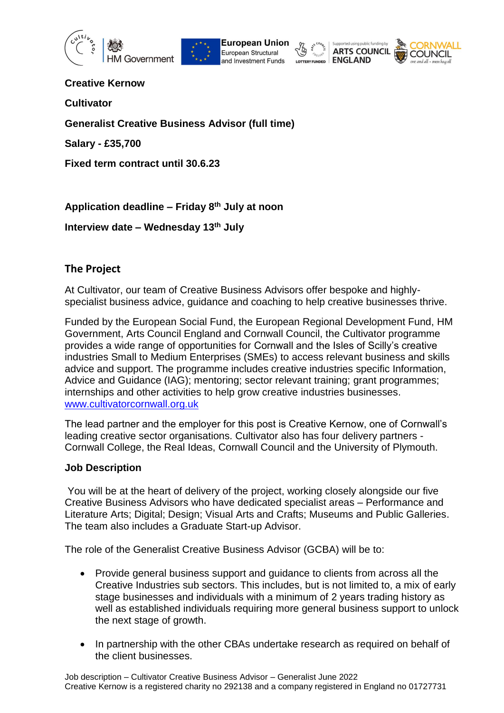







**Creative Kernow**

**Cultivator** 

**Generalist Creative Business Advisor (full time)**

**Salary - £35,700** 

**Fixed term contract until 30.6.23**

**Application deadline – Friday 8th July at noon**

**Interview date – Wednesday 13th July**

# **The Project**

At Cultivator, our team of Creative Business Advisors offer bespoke and highlyspecialist business advice, guidance and coaching to help creative businesses thrive.

Funded by the European Social Fund, the European Regional Development Fund, HM Government, Arts Council England and Cornwall Council, the Cultivator programme provides a wide range of opportunities for Cornwall and the Isles of Scilly's creative industries Small to Medium Enterprises (SMEs) to access relevant business and skills advice and support. The programme includes creative industries specific Information, Advice and Guidance (IAG); mentoring; sector relevant training; grant programmes; internships and other activities to help grow creative industries businesses. [www.cultivatorcornwall.org.uk](http://www.cultivatorcornwall.org.uk/)

The lead partner and the employer for this post is Creative Kernow, one of Cornwall's leading creative sector organisations. Cultivator also has four delivery partners - Cornwall College, the Real Ideas, Cornwall Council and the University of Plymouth.

### **Job Description**

You will be at the heart of delivery of the project, working closely alongside our five Creative Business Advisors who have dedicated specialist areas – Performance and Literature Arts; Digital; Design; Visual Arts and Crafts; Museums and Public Galleries. The team also includes a Graduate Start-up Advisor.

The role of the Generalist Creative Business Advisor (GCBA) will be to:

- Provide general business support and guidance to clients from across all the Creative Industries sub sectors. This includes, but is not limited to, a mix of early stage businesses and individuals with a minimum of 2 years trading history as well as established individuals requiring more general business support to unlock the next stage of growth.
- In partnership with the other CBAs undertake research as required on behalf of the client businesses.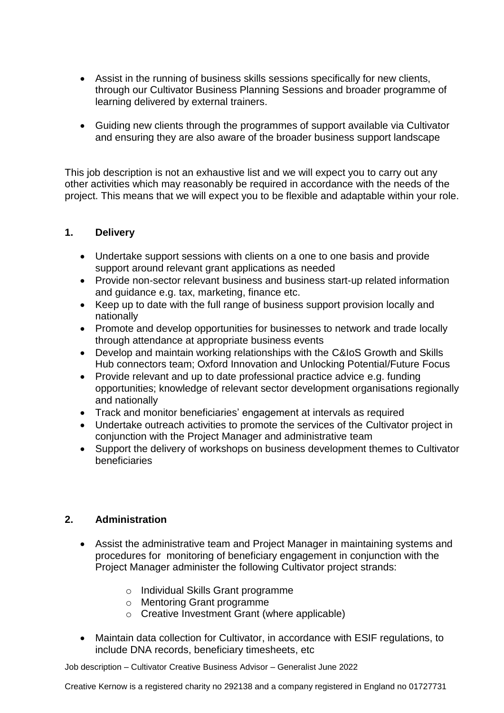- Assist in the running of business skills sessions specifically for new clients, through our Cultivator Business Planning Sessions and broader programme of learning delivered by external trainers.
- Guiding new clients through the programmes of support available via Cultivator and ensuring they are also aware of the broader business support landscape

This job description is not an exhaustive list and we will expect you to carry out any other activities which may reasonably be required in accordance with the needs of the project. This means that we will expect you to be flexible and adaptable within your role.

## **1. Delivery**

- Undertake support sessions with clients on a one to one basis and provide support around relevant grant applications as needed
- Provide non-sector relevant business and business start-up related information and guidance e.g. tax, marketing, finance etc.
- Keep up to date with the full range of business support provision locally and nationally
- Promote and develop opportunities for businesses to network and trade locally through attendance at appropriate business events
- Develop and maintain working relationships with the C&IoS Growth and Skills Hub connectors team; Oxford Innovation and Unlocking Potential/Future Focus
- Provide relevant and up to date professional practice advice e.g. funding opportunities; knowledge of relevant sector development organisations regionally and nationally
- Track and monitor beneficiaries' engagement at intervals as required
- Undertake outreach activities to promote the services of the Cultivator project in conjunction with the Project Manager and administrative team
- Support the delivery of workshops on business development themes to Cultivator beneficiaries

## **2. Administration**

- Assist the administrative team and Project Manager in maintaining systems and procedures for monitoring of beneficiary engagement in conjunction with the Project Manager administer the following Cultivator project strands:
	- o Individual Skills Grant programme
	- o Mentoring Grant programme
	- o Creative Investment Grant (where applicable)
- Maintain data collection for Cultivator, in accordance with ESIF regulations, to include DNA records, beneficiary timesheets, etc

Job description – Cultivator Creative Business Advisor – Generalist June 2022

Creative Kernow is a registered charity no 292138 and a company registered in England no 01727731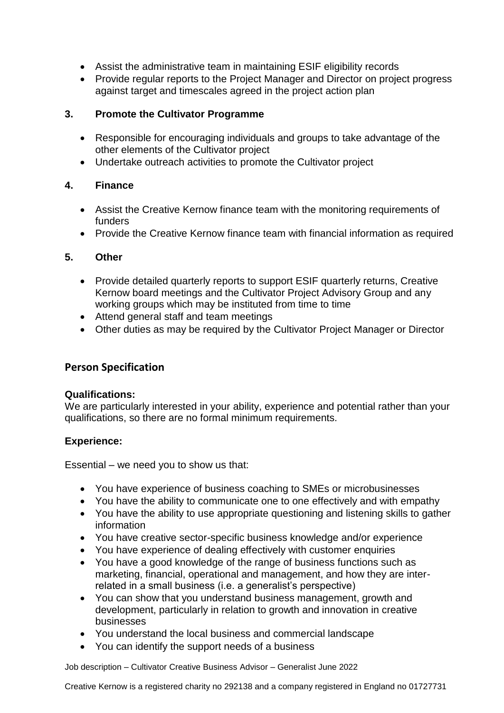- Assist the administrative team in maintaining ESIF eligibility records
- Provide regular reports to the Project Manager and Director on project progress against target and timescales agreed in the project action plan

## **3. Promote the Cultivator Programme**

- Responsible for encouraging individuals and groups to take advantage of the other elements of the Cultivator project
- Undertake outreach activities to promote the Cultivator project

## **4. Finance**

- Assist the Creative Kernow finance team with the monitoring requirements of funders
- Provide the Creative Kernow finance team with financial information as required

## **5. Other**

- Provide detailed quarterly reports to support ESIF quarterly returns, Creative Kernow board meetings and the Cultivator Project Advisory Group and any working groups which may be instituted from time to time
- Attend general staff and team meetings
- Other duties as may be required by the Cultivator Project Manager or Director

## **Person Specification**

### **Qualifications:**

We are particularly interested in your ability, experience and potential rather than your qualifications, so there are no formal minimum requirements.

### **Experience:**

Essential – we need you to show us that:

- You have experience of business coaching to SMEs or microbusinesses
- You have the ability to communicate one to one effectively and with empathy
- You have the ability to use appropriate questioning and listening skills to gather information
- You have creative sector-specific business knowledge and/or experience
- You have experience of dealing effectively with customer enquiries
- You have a good knowledge of the range of business functions such as marketing, financial, operational and management, and how they are interrelated in a small business (i.e. a generalist's perspective)
- You can show that you understand business management, growth and development, particularly in relation to growth and innovation in creative businesses
- You understand the local business and commercial landscape
- You can identify the support needs of a business

Job description – Cultivator Creative Business Advisor – Generalist June 2022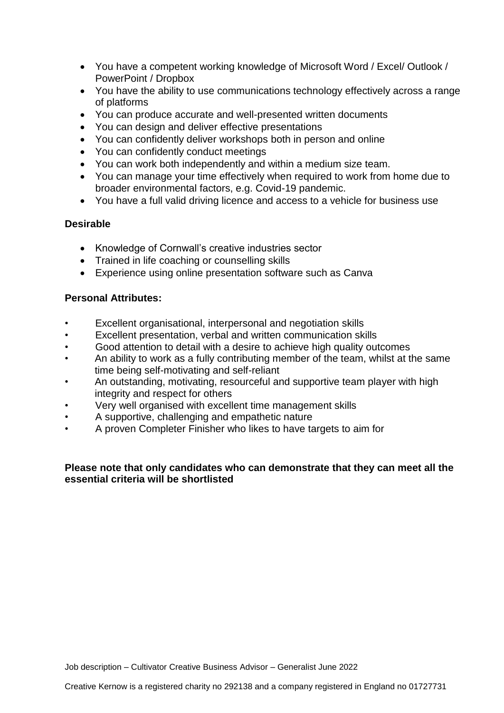- You have a competent working knowledge of Microsoft Word / Excel/ Outlook / PowerPoint / Dropbox
- You have the ability to use communications technology effectively across a range of platforms
- You can produce accurate and well-presented written documents
- You can design and deliver effective presentations
- You can confidently deliver workshops both in person and online
- You can confidently conduct meetings
- You can work both independently and within a medium size team.
- You can manage your time effectively when required to work from home due to broader environmental factors, e.g. Covid-19 pandemic.
- You have a full valid driving licence and access to a vehicle for business use

## **Desirable**

- Knowledge of Cornwall's creative industries sector
- Trained in life coaching or counselling skills
- Experience using online presentation software such as Canva

## **Personal Attributes:**

- Excellent organisational, interpersonal and negotiation skills
- Excellent presentation, verbal and written communication skills
- Good attention to detail with a desire to achieve high quality outcomes
- An ability to work as a fully contributing member of the team, whilst at the same time being self-motivating and self-reliant
- An outstanding, motivating, resourceful and supportive team player with high integrity and respect for others
- Very well organised with excellent time management skills
- A supportive, challenging and empathetic nature
- A proven Completer Finisher who likes to have targets to aim for

## **Please note that only candidates who can demonstrate that they can meet all the essential criteria will be shortlisted**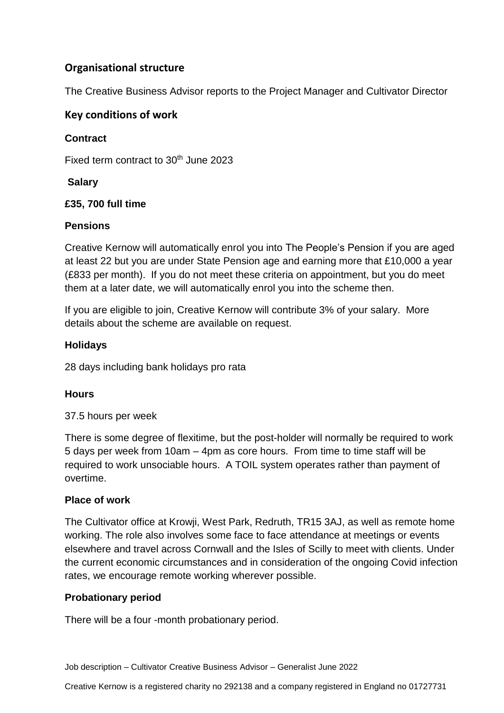# **Organisational structure**

The Creative Business Advisor reports to the Project Manager and Cultivator Director

## **Key conditions of work**

## **Contract**

Fixed term contract to 30<sup>th</sup> June 2023

## **Salary**

## **£35, 700 full time**

## **Pensions**

Creative Kernow will automatically enrol you into The People's Pension if you are aged at least 22 but you are under State Pension age and earning more that £10,000 a year (£833 per month). If you do not meet these criteria on appointment, but you do meet them at a later date, we will automatically enrol you into the scheme then.

If you are eligible to join, Creative Kernow will contribute 3% of your salary. More details about the scheme are available on request.

## **Holidays**

28 days including bank holidays pro rata

### **Hours**

37.5 hours per week

There is some degree of flexitime, but the post-holder will normally be required to work 5 days per week from 10am – 4pm as core hours. From time to time staff will be required to work unsociable hours. A TOIL system operates rather than payment of overtime.

### **Place of work**

The Cultivator office at Krowji, West Park, Redruth, TR15 3AJ, as well as remote home working. The role also involves some face to face attendance at meetings or events elsewhere and travel across Cornwall and the Isles of Scilly to meet with clients. Under the current economic circumstances and in consideration of the ongoing Covid infection rates, we encourage remote working wherever possible.

### **Probationary period**

There will be a four -month probationary period.

Job description – Cultivator Creative Business Advisor – Generalist June 2022